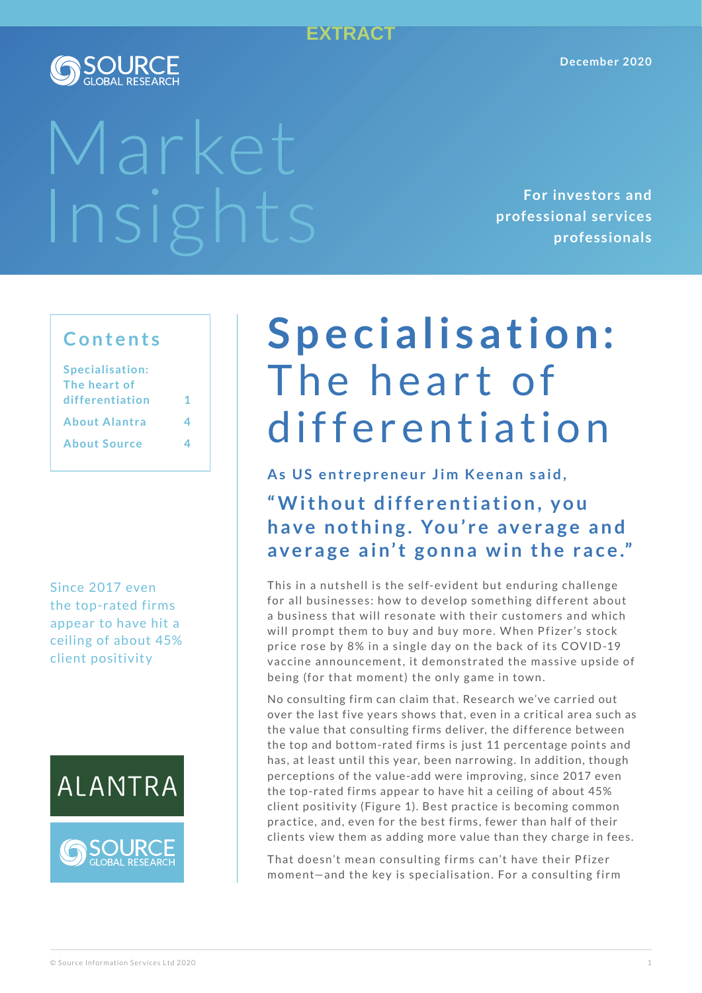### **EXTRACT**



# Market

**For investors and professional ser vices professionals**

### **Contents**

| 1 |
|---|
|   |
|   |
|   |

Since 2017 even the top-rated firms appear to have hit a ceiling of about 45% client positivity





# Specialisation: The heart of differentiation

As US entrepreneur Jim Keenan said, "Without differentiation, you have nothing. You're average and average ain't gonna win the race."

This in a nutshell is the self-evident but enduring challenge for all businesses: how to develop something different about a business that will resonate with their customers and which will prompt them to buy and buy more. When Pfizer's stock price rose by 8% in a single day on the back of its COVID-19 vaccine announcement, it demonstrated the massive upside of being (for that moment) the only game in town.

No consulting firm can claim that. Research we've carried out over the last five years shows that, even in a critical area such as the value that consulting firms deliver, the difference between the top and bottom-rated firms is just 11 percentage points and has, at least until this year, been narrowing. In addition, though perceptions of the value-add were improving, since 2017 even the top-rated firms appear to have hit a ceiling of about 45% client positivity (Figure 1). Best practice is becoming common prac tice, and, even for the best firms, fewer than half of their clients view them as adding more value than they charge in fees.

That doesn't mean consulting firms can't have their Pfizer moment-and the key is specialisation. For a consulting firm